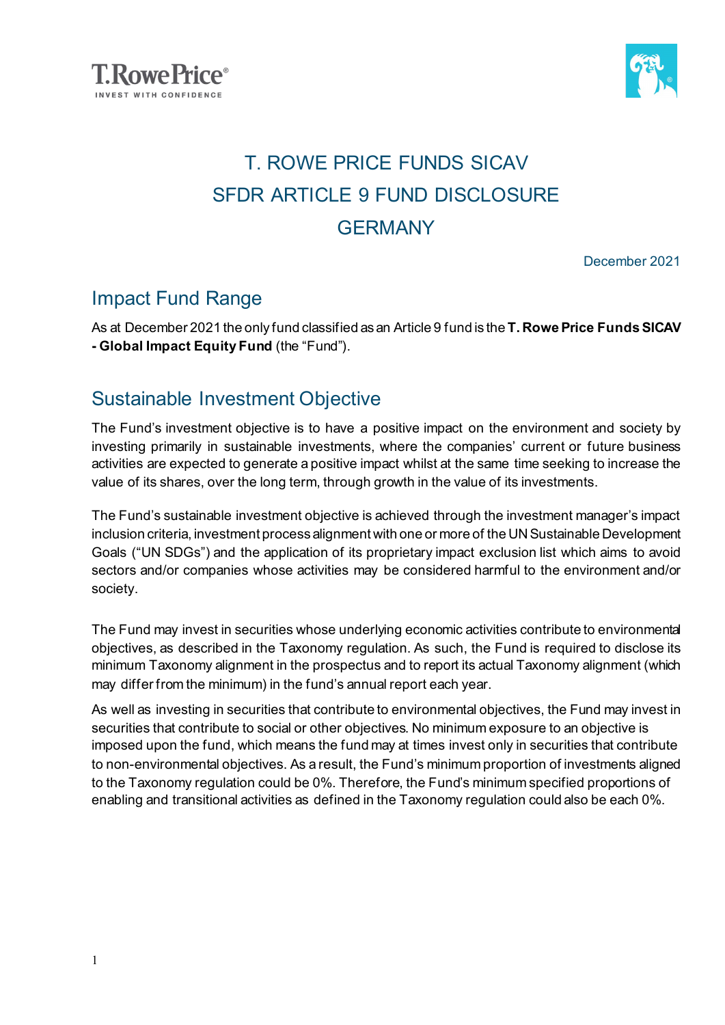



### T. ROWE PRICE FUNDS SICAV SFDR ARTICLE 9 FUND DISCLOSURE **GERMANY**

December 2021

### Impact Fund Range

As at December 2021 the only fund classified as an Article 9 fund is the **T. Rowe Price Funds SICAV - Global Impact Equity Fund** (the "Fund").

#### Sustainable Investment Objective

The Fund's investment objective is to have a positive impact on the environment and society by investing primarily in sustainable investments, where the companies' current or future business activities are expected to generate a positive impact whilst at the same time seeking to increase the value of its shares, over the long term, through growth in the value of its investments.

The Fund's sustainable investment objective is achieved through the investment manager's impact inclusion criteria, investment process alignment with one or more of the UN Sustainable Development Goals ("UN SDGs") and the application of its proprietary impact exclusion list which aims to avoid sectors and/or companies whose activities may be considered harmful to the environment and/or society.

The Fund may invest in securities whose underlying economic activities contribute to environmental objectives, as described in the Taxonomy regulation. As such, the Fund is required to disclose its minimum Taxonomy alignment in the prospectus and to report its actual Taxonomy alignment (which may differ from the minimum) in the fund's annual report each year.

As well as investing in securities that contribute to environmental objectives, the Fund may invest in securities that contribute to social or other objectives. No minimum exposure to an objective is imposed upon the fund, which means the fund may at times invest only in securities that contribute to non-environmental objectives. As a result, the Fund's minimum proportion of investments aligned to the Taxonomy regulation could be 0%. Therefore, the Fund's minimum specified proportions of enabling and transitional activities as defined in the Taxonomy regulation could also be each 0%.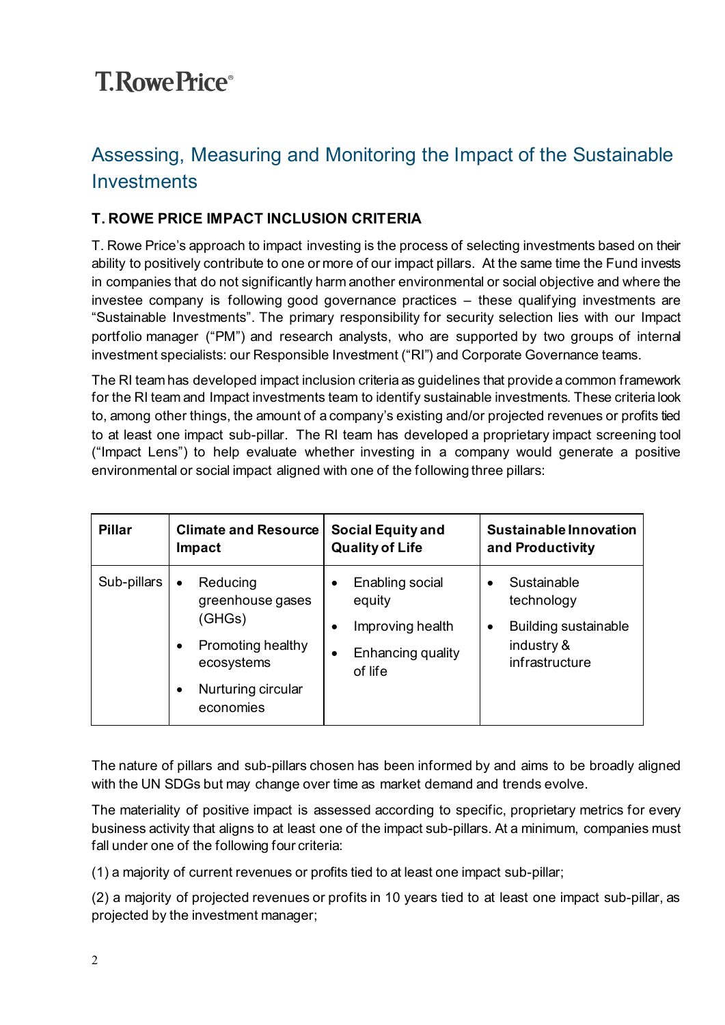### Assessing, Measuring and Monitoring the Impact of the Sustainable **Investments**

#### **T. ROWE PRICE IMPACT INCLUSION CRITERIA**

T. Rowe Price's approach to impact investing is the process of selecting investments based on their ability to positively contribute to one or more of our impact pillars. At the same time the Fund invests in companies that do not significantly harm another environmental or social objective and where the investee company is following good governance practices – these qualifying investments are "Sustainable Investments". The primary responsibility for security selection lies with our Impact portfolio manager ("PM") and research analysts, who are supported by two groups of internal investment specialists: our Responsible Investment ("RI") and Corporate Governance teams.

The RI team has developed impact inclusion criteria as guidelines that provide a common framework for the RI team and Impact investments team to identify sustainable investments. These criteria look to, among other things, the amount of a company's existing and/or projected revenues or profits tied to at least one impact sub-pillar. The RI team has developed a proprietary impact screening tool ("Impact Lens") to help evaluate whether investing in a company would generate a positive environmental or social impact aligned with one of the following three pillars:

| <b>Pillar</b> | <b>Climate and Resource</b>                                                                                                            | <b>Social Equity and</b>                                                      | <b>Sustainable Innovation</b>                                                                 |
|---------------|----------------------------------------------------------------------------------------------------------------------------------------|-------------------------------------------------------------------------------|-----------------------------------------------------------------------------------------------|
|               | Impact                                                                                                                                 | <b>Quality of Life</b>                                                        | and Productivity                                                                              |
| Sub-pillars   | Reducing<br>$\bullet$<br>greenhouse gases<br>(GHGs)<br>Promoting healthy<br>$\bullet$<br>ecosystems<br>Nurturing circular<br>economies | Enabling social<br>equity<br>Improving health<br>Enhancing quality<br>of life | Sustainable<br>technology<br><b>Building sustainable</b><br>٠<br>industry &<br>infrastructure |

The nature of pillars and sub-pillars chosen has been informed by and aims to be broadly aligned with the UN SDGs but may change over time as market demand and trends evolve.

The materiality of positive impact is assessed according to specific, proprietary metrics for every business activity that aligns to at least one of the impact sub-pillars. At a minimum, companies must fall under one of the following four criteria:

(1) a majority of current revenues or profits tied to at least one impact sub-pillar;

(2) a majority of projected revenues or profits in 10 years tied to at least one impact sub-pillar, as projected by the investment manager;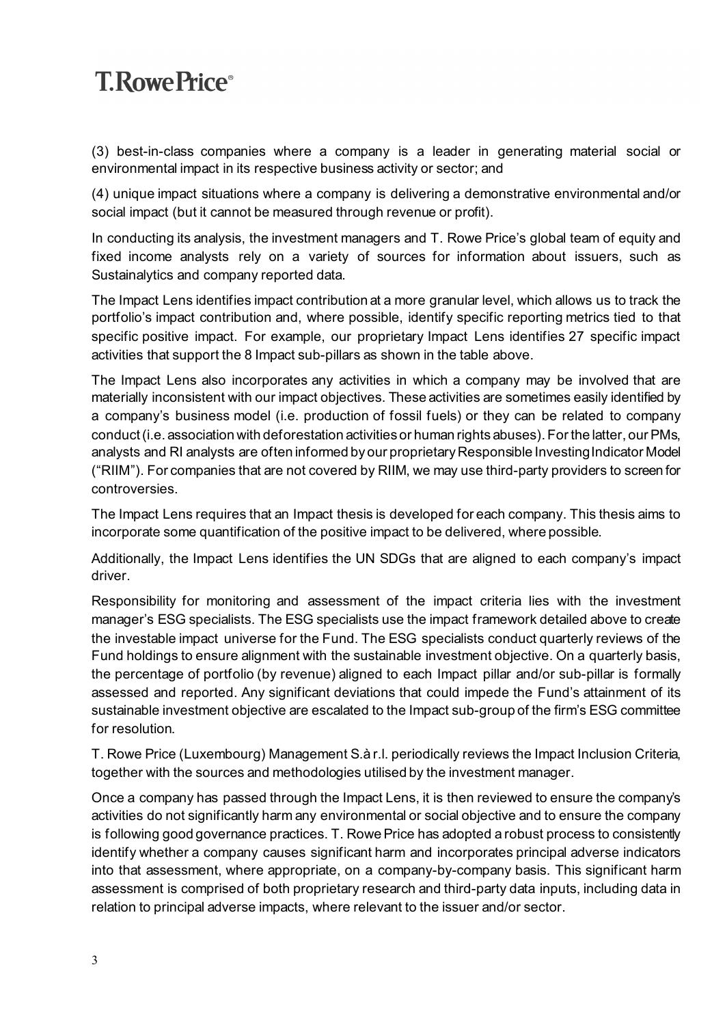(3) best-in-class companies where a company is a leader in generating material social or environmental impact in its respective business activity or sector; and

(4) unique impact situations where a company is delivering a demonstrative environmental and/or social impact (but it cannot be measured through revenue or profit).

In conducting its analysis, the investment managers and T. Rowe Price's global team of equity and fixed income analysts rely on a variety of sources for information about issuers, such as Sustainalytics and company reported data.

The Impact Lens identifies impact contribution at a more granular level, which allows us to track the portfolio's impact contribution and, where possible, identify specific reporting metrics tied to that specific positive impact. For example, our proprietary Impact Lens identifies 27 specific impact activities that support the 8 Impact sub-pillars as shown in the table above.

The Impact Lens also incorporates any activities in which a company may be involved that are materially inconsistent with our impact objectives. These activities are sometimes easily identified by a company's business model (i.e. production of fossil fuels) or they can be related to company conduct (i.e. association with deforestation activities or human rights abuses). For the latter, our PMs, analysts and RI analysts are often informed by our proprietary Responsible Investing Indicator Model ("RIIM"). For companies that are not covered by RIIM, we may use third-party providers to screen for controversies.

The Impact Lens requires that an Impact thesis is developed for each company. This thesis aims to incorporate some quantification of the positive impact to be delivered, where possible.

Additionally, the Impact Lens identifies the UN SDGs that are aligned to each company's impact driver.

Responsibility for monitoring and assessment of the impact criteria lies with the investment manager's ESG specialists. The ESG specialists use the impact framework detailed above to create the investable impact universe for the Fund. The ESG specialists conduct quarterly reviews of the Fund holdings to ensure alignment with the sustainable investment objective. On a quarterly basis, the percentage of portfolio (by revenue) aligned to each Impact pillar and/or sub-pillar is formally assessed and reported. Any significant deviations that could impede the Fund's attainment of its sustainable investment objective are escalated to the Impact sub-group of the firm's ESG committee for resolution.

T. Rowe Price (Luxembourg) Management S.à r.l. periodically reviews the Impact Inclusion Criteria, together with the sources and methodologies utilised by the investment manager.

Once a company has passed through the Impact Lens, it is then reviewed to ensure the company's activities do not significantly harm any environmental or social objective and to ensure the company is following good governance practices. T. Rowe Price has adopted a robust process to consistently identify whether a company causes significant harm and incorporates principal adverse indicators into that assessment, where appropriate, on a company-by-company basis. This significant harm assessment is comprised of both proprietary research and third-party data inputs, including data in relation to principal adverse impacts, where relevant to the issuer and/or sector.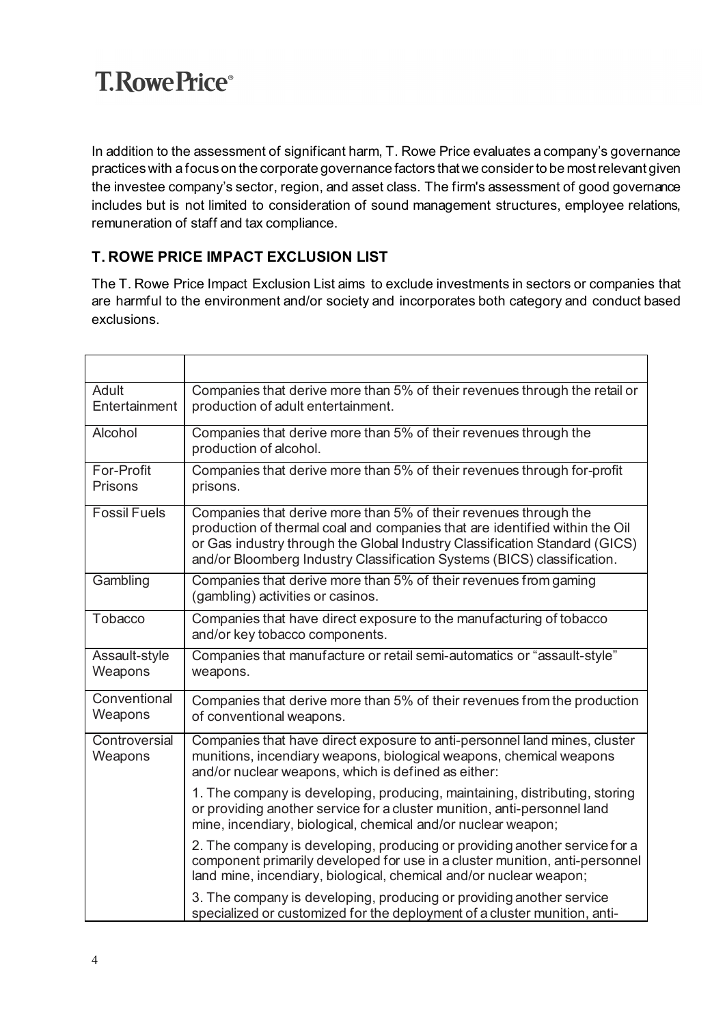In addition to the assessment of significant harm, T. Rowe Price evaluates a company's governance practices with a focus on the corporate governance factors that we consider to be most relevant given the investee company's sector, region, and asset class. The firm's assessment of good governance includes but is not limited to consideration of sound management structures, employee relations, remuneration of staff and tax compliance.

#### **T. ROWE PRICE IMPACT EXCLUSION LIST**

The T. Rowe Price Impact Exclusion List aims to exclude investments in sectors or companies that are harmful to the environment and/or society and incorporates both category and conduct based exclusions.

| Adult<br>Entertainment   | Companies that derive more than 5% of their revenues through the retail or<br>production of adult entertainment.                                                                                                                                                                                         |
|--------------------------|----------------------------------------------------------------------------------------------------------------------------------------------------------------------------------------------------------------------------------------------------------------------------------------------------------|
| Alcohol                  | Companies that derive more than 5% of their revenues through the<br>production of alcohol.                                                                                                                                                                                                               |
| For-Profit<br>Prisons    | Companies that derive more than 5% of their revenues through for-profit<br>prisons.                                                                                                                                                                                                                      |
| <b>Fossil Fuels</b>      | Companies that derive more than 5% of their revenues through the<br>production of thermal coal and companies that are identified within the Oil<br>or Gas industry through the Global Industry Classification Standard (GICS)<br>and/or Bloomberg Industry Classification Systems (BICS) classification. |
| Gambling                 | Companies that derive more than 5% of their revenues from gaming<br>(gambling) activities or casinos.                                                                                                                                                                                                    |
| Tobacco                  | Companies that have direct exposure to the manufacturing of tobacco<br>and/or key tobacco components.                                                                                                                                                                                                    |
| Assault-style<br>Weapons | Companies that manufacture or retail semi-automatics or "assault-style"<br>weapons.                                                                                                                                                                                                                      |
| Conventional<br>Weapons  | Companies that derive more than 5% of their revenues from the production<br>of conventional weapons.                                                                                                                                                                                                     |
| Controversial<br>Weapons | Companies that have direct exposure to anti-personnel land mines, cluster<br>munitions, incendiary weapons, biological weapons, chemical weapons<br>and/or nuclear weapons, which is defined as either:                                                                                                  |
|                          | 1. The company is developing, producing, maintaining, distributing, storing<br>or providing another service for a cluster munition, anti-personnel land<br>mine, incendiary, biological, chemical and/or nuclear weapon;                                                                                 |
|                          | 2. The company is developing, producing or providing another service for a<br>component primarily developed for use in a cluster munition, anti-personnel<br>land mine, incendiary, biological, chemical and/or nuclear weapon;                                                                          |
|                          | 3. The company is developing, producing or providing another service<br>specialized or customized for the deployment of a cluster munition, anti-                                                                                                                                                        |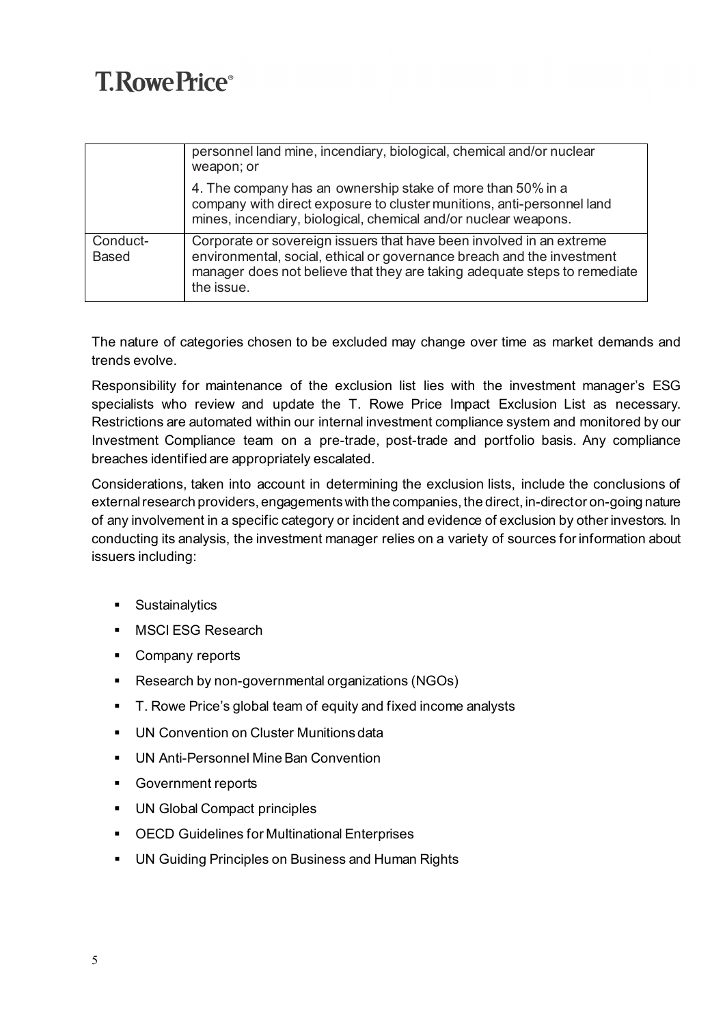|                          | personnel land mine, incendiary, biological, chemical and/or nuclear<br>weapon; or                                                                                                                                                        |  |  |
|--------------------------|-------------------------------------------------------------------------------------------------------------------------------------------------------------------------------------------------------------------------------------------|--|--|
|                          | 4. The company has an ownership stake of more than 50% in a<br>company with direct exposure to cluster munitions, anti-personnel land<br>mines, incendiary, biological, chemical and/or nuclear weapons.                                  |  |  |
| Conduct-<br><b>Based</b> | Corporate or sovereign issuers that have been involved in an extreme<br>environmental, social, ethical or governance breach and the investment<br>manager does not believe that they are taking adequate steps to remediate<br>the issue. |  |  |

The nature of categories chosen to be excluded may change over time as market demands and trends evolve.

Responsibility for maintenance of the exclusion list lies with the investment manager's ESG specialists who review and update the T. Rowe Price Impact Exclusion List as necessary. Restrictions are automated within our internal investment compliance system and monitored by our Investment Compliance team on a pre-trade, post-trade and portfolio basis. Any compliance breaches identified are appropriately escalated.

Considerations, taken into account in determining the exclusion lists, include the conclusions of external research providers, engagements with the companies, the direct, in-director on-going nature of any involvement in a specific category or incident and evidence of exclusion by other investors. In conducting its analysis, the investment manager relies on a variety of sources for information about issuers including:

- **Sustainalytics**
- **MSCI ESG Research**
- **Company reports**
- Research by non-governmental organizations (NGOs)
- T. Rowe Price's global team of equity and fixed income analysts
- **UN Convention on Cluster Munitions data**
- UN Anti-Personnel Mine Ban Convention
- **Government reports**
- **UN Global Compact principles**
- OECD Guidelines for Multinational Enterprises
- **UN Guiding Principles on Business and Human Rights**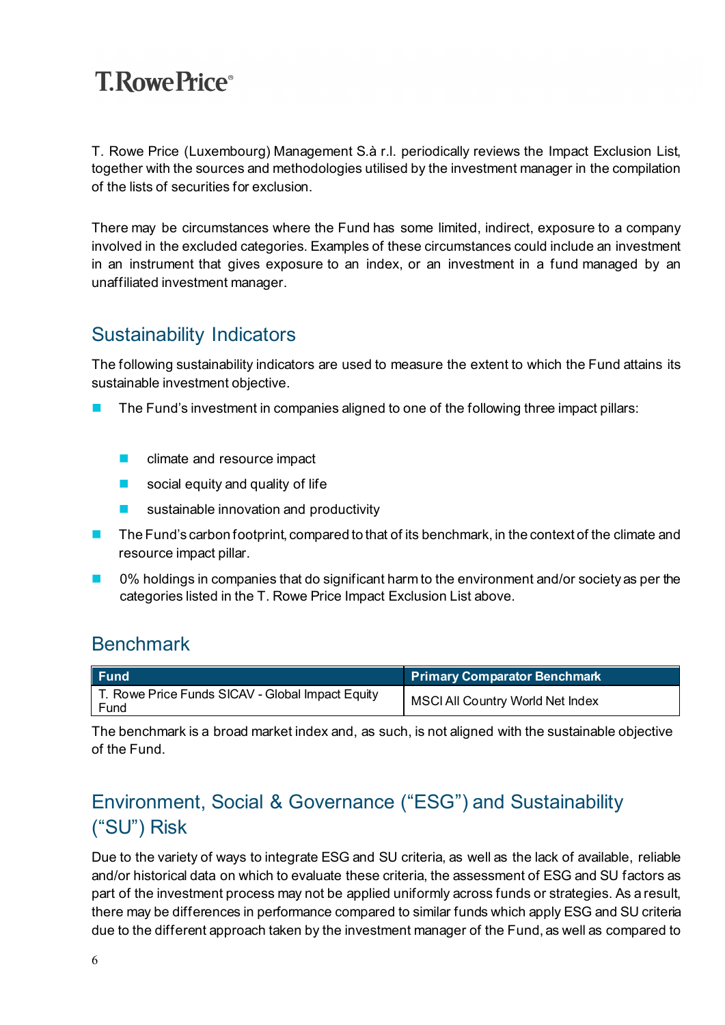T. Rowe Price (Luxembourg) Management S.à r.l. periodically reviews the Impact Exclusion List, together with the sources and methodologies utilised by the investment manager in the compilation of the lists of securities for exclusion.

There may be circumstances where the Fund has some limited, indirect, exposure to a company involved in the excluded categories. Examples of these circumstances could include an investment in an instrument that gives exposure to an index, or an investment in a fund managed by an unaffiliated investment manager.

### Sustainability Indicators

The following sustainability indicators are used to measure the extent to which the Fund attains its sustainable investment objective.

- The Fund's investment in companies aligned to one of the following three impact pillars:
	- **Compact** climate and resource impact
	- social equity and quality of life
	- sustainable innovation and productivity
- The Fund's carbon footprint, compared to that of its benchmark, in the context of the climate and resource impact pillar.
- 0% holdings in companies that do significant harm to the environment and/or society as per the categories listed in the T. Rowe Price Impact Exclusion List above.

#### **Benchmark**

| <b>Fund</b>                                              | <b>Primary Comparator Benchmark</b>     |
|----------------------------------------------------------|-----------------------------------------|
| T. Rowe Price Funds SICAV - Global Impact Equity<br>Fund | <b>MSCI All Country World Net Index</b> |

The benchmark is a broad market index and, as such, is not aligned with the sustainable objective of the Fund.

### Environment, Social & Governance ("ESG") and Sustainability ("SU") Risk

Due to the variety of ways to integrate ESG and SU criteria, as well as the lack of available, reliable and/or historical data on which to evaluate these criteria, the assessment of ESG and SU factors as part of the investment process may not be applied uniformly across funds or strategies. As a result, there may be differences in performance compared to similar funds which apply ESG and SU criteria due to the different approach taken by the investment manager of the Fund, as well as compared to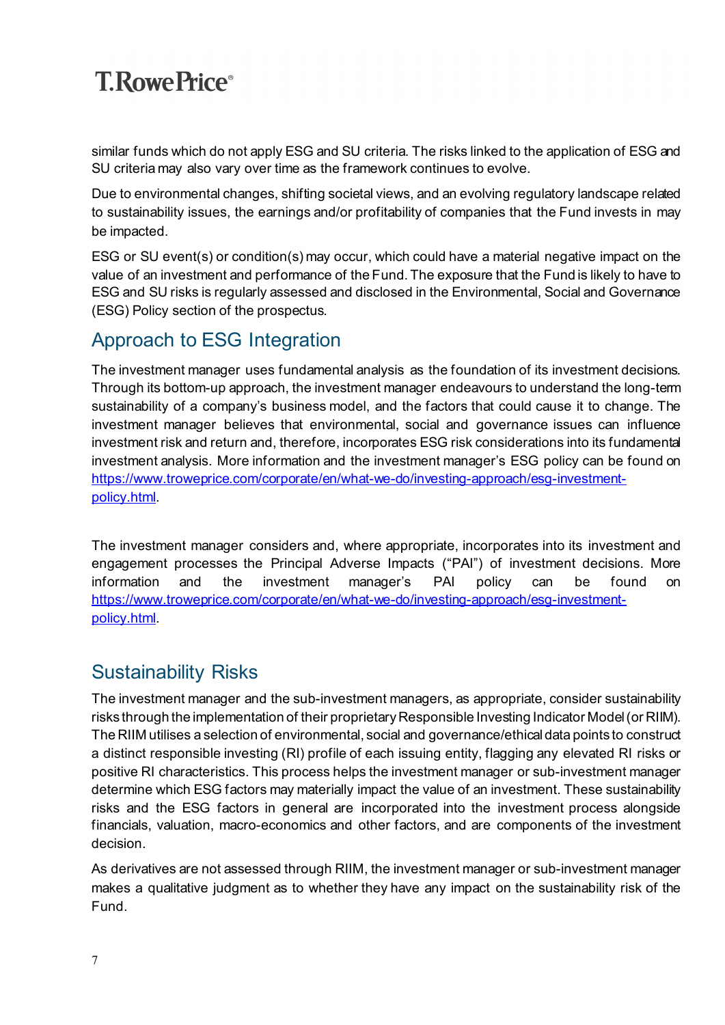similar funds which do not apply ESG and SU criteria. The risks linked to the application of ESG and SU criteria may also vary over time as the framework continues to evolve.

Due to environmental changes, shifting societal views, and an evolving regulatory landscape related to sustainability issues, the earnings and/or profitability of companies that the Fund invests in may be impacted.

ESG or SU event(s) or condition(s) may occur, which could have a material negative impact on the value of an investment and performance of the Fund. The exposure that the Fund is likely to have to ESG and SU risks is regularly assessed and disclosed in the Environmental, Social and Governance (ESG) Policy section of the prospectus.

#### Approach to ESG Integration

The investment manager uses fundamental analysis as the foundation of its investment decisions. Through its bottom-up approach, the investment manager endeavours to understand the long-term sustainability of a company's business model, and the factors that could cause it to change. The investment manager believes that environmental, social and governance issues can influence investment risk and return and, therefore, incorporates ESG risk considerations into its fundamental investment analysis. More information and the investment manager's ESG policy can be found on [https://www.troweprice.com/corporate/en/what-we-do/investing-approach/esg-investment](https://www.troweprice.com/corporate/en/what-we-do/investing-approach/esg-investment-policy.html)[policy.html.](https://www.troweprice.com/corporate/en/what-we-do/investing-approach/esg-investment-policy.html)

The investment manager considers and, where appropriate, incorporates into its investment and engagement processes the Principal Adverse Impacts ("PAI") of investment decisions. More information and the investment manager's PAI policy can be found on [https://www.troweprice.com/corporate/en/what-we-do/investing-approach/esg-investment](https://www.troweprice.com/corporate/en/what-we-do/investing-approach/esg-investment-policy.html)[policy.html.](https://www.troweprice.com/corporate/en/what-we-do/investing-approach/esg-investment-policy.html)

### Sustainability Risks

The investment manager and the sub-investment managers, as appropriate, consider sustainability risks through the implementation of their proprietary Responsible Investing Indicator Model (or RIIM). The RIIM utilises a selection of environmental, social and governance/ethical data points to construct a distinct responsible investing (RI) profile of each issuing entity, flagging any elevated RI risks or positive RI characteristics. This process helps the investment manager or sub-investment manager determine which ESG factors may materially impact the value of an investment. These sustainability risks and the ESG factors in general are incorporated into the investment process alongside financials, valuation, macro-economics and other factors, and are components of the investment decision.

As derivatives are not assessed through RIIM, the investment manager or sub-investment manager makes a qualitative judgment as to whether they have any impact on the sustainability risk of the Fund.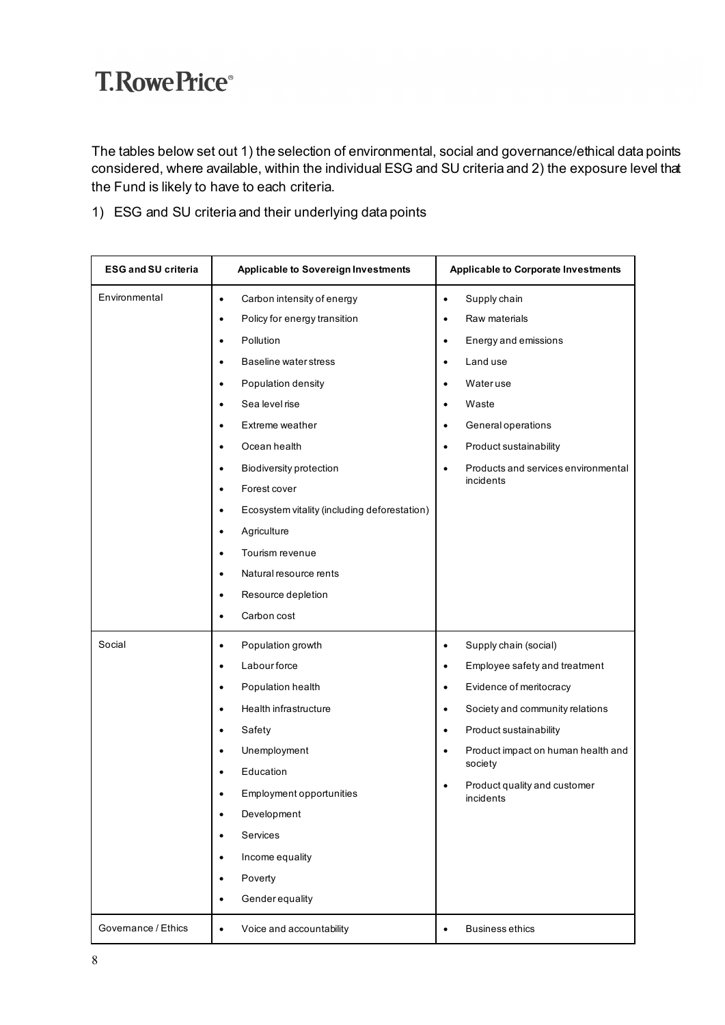The tables below set out 1) the selection of environmental, social and governance/ethical data points considered, where available, within the individual ESG and SU criteria and 2) the exposure level that the Fund is likely to have to each criteria.

1) ESG and SU criteria and their underlying data points

| <b>ESG and SU criteria</b> | <b>Applicable to Sovereign Investments</b>                                                                                                                                                                                                                                                                                                                                                                                                                                                      | <b>Applicable to Corporate Investments</b>                                                                                                                                                                                                                                                                                      |
|----------------------------|-------------------------------------------------------------------------------------------------------------------------------------------------------------------------------------------------------------------------------------------------------------------------------------------------------------------------------------------------------------------------------------------------------------------------------------------------------------------------------------------------|---------------------------------------------------------------------------------------------------------------------------------------------------------------------------------------------------------------------------------------------------------------------------------------------------------------------------------|
| Environmental              | Carbon intensity of energy<br>$\bullet$<br>Policy for energy transition<br>$\bullet$<br>Pollution<br>$\bullet$<br><b>Baseline water stress</b><br>$\bullet$<br>Population density<br>$\bullet$<br>Sea level rise<br>$\bullet$<br>Extreme weather<br>$\bullet$<br>Ocean health<br>$\bullet$<br><b>Biodiversity protection</b><br>$\bullet$<br>Forest cover<br>$\bullet$<br>Ecosystem vitality (including deforestation)<br>$\bullet$<br>Agriculture<br>$\bullet$<br>Tourism revenue<br>$\bullet$ | Supply chain<br>$\bullet$<br>Raw materials<br>٠<br>Energy and emissions<br>$\bullet$<br>Land use<br>٠<br>Wateruse<br>٠<br>Waste<br>$\bullet$<br>General operations<br>٠<br>Product sustainability<br>$\bullet$<br>Products and services environmental<br>$\bullet$<br>incidents                                                 |
|                            | Natural resource rents<br>$\bullet$<br>Resource depletion<br>$\bullet$<br>Carbon cost<br>$\bullet$                                                                                                                                                                                                                                                                                                                                                                                              |                                                                                                                                                                                                                                                                                                                                 |
| Social                     | Population growth<br>$\bullet$<br><b>Labour force</b><br>$\bullet$<br>Population health<br>$\bullet$<br>Health infrastructure<br>$\bullet$<br>Safety<br>$\bullet$<br>Unemployment<br>$\bullet$<br>Education<br>$\bullet$<br>Employment opportunities<br>Development<br>٠<br>Services<br>Income equality<br>Poverty<br>$\bullet$<br>Genderequality<br>$\bullet$                                                                                                                                  | Supply chain (social)<br>$\bullet$<br>Employee safety and treatment<br>٠<br>Evidence of meritocracy<br>$\bullet$<br>Society and community relations<br>$\bullet$<br>Product sustainability<br>$\bullet$<br>Product impact on human health and<br>$\bullet$<br>society<br>Product quality and customer<br>$\bullet$<br>incidents |
| Governance / Ethics        | Voice and accountability<br>$\bullet$                                                                                                                                                                                                                                                                                                                                                                                                                                                           | <b>Business ethics</b><br>$\bullet$                                                                                                                                                                                                                                                                                             |